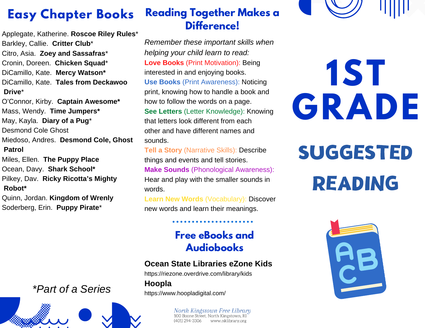## **Easy Chapter Books**

Applegate, Katherine. **Roscoe Riley Rules**\* Barkley, Callie. **Critter Club**\* Citro, Asia. **Zoey and Sassafras**\* Cronin, Doreen. **Chicken Squad**\* DiCamillo, Kate. **Mercy Watson\*** DiCamillo, Kate. **Tales from Deckawoo Drive**\*

O'Connor, Kirby. **Captain Awesome\*** Mass, Wendy. **Time Jumpers\*** May, Kayla. **Diary of a Pug**\* Desmond Cole Ghost Miedoso, Andres. **Desmond Cole, Ghost Patrol**

Miles, Ellen. **The Puppy Place** Ocean, Davy. **Shark School\*** Pilkey, Dav. **Ricky Ricotta's Mighty Robot\***

Quinn, Jordan. **Kingdom of Wrenly** Soderberg, Erin. **Puppy Pirate**\*

### **Reading Together Makes a Difference!**

*Remember these important skills when helping your child learn to read:* **Love Books** (Print Motivation): Being interested in and enjoying books. **Use Books** (Print Awareness): Noticing print, knowing how to handle a book and how to follow the words on a page. **See Letters** (Letter Knowledge): Knowing that letters look different from each other and have different names and sounds.

**Tell a Story** (Narrative Skills): Describe things and events and tell stories. **Make Sounds** (Phonological Awareness): Hear and play with the smaller sounds in words.

**Learn New Words** (Vocabulary): Discover new words and learn their meanings.

### **Free eBooks and Audiobooks**

#### **Ocean State Libraries eZone Kids**

https://riezone.overdrive.com/library/kids **Hoopla** https://www.hoopladigital.com/

> North Kingstown Free Library<br>100 Boone Street, North Kingstown, RI (401) 294-3306 www.nklibrary.org

**1ST GRADE**

**SUGGESTED** READING



### *\*Part of a Series*